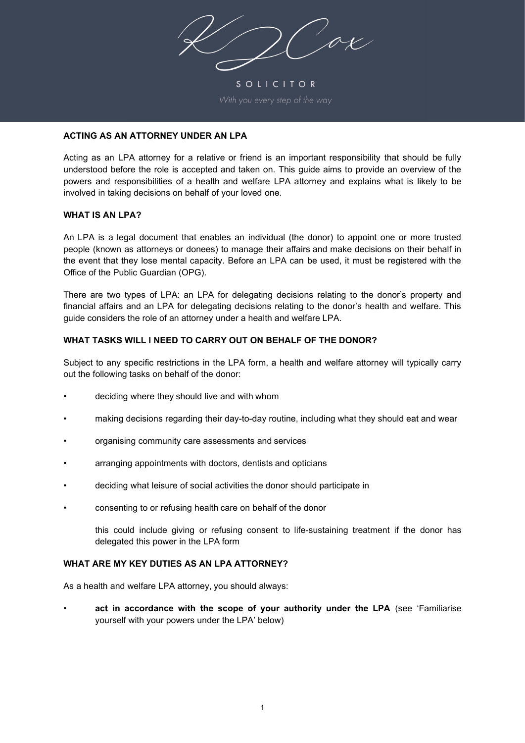$7/20x$ 

SOLICITOR

## **ACTING AS AN ATTORNEY UNDER AN LPA**

Acting as an LPA attorney for a relative or friend is an important responsibility that should be fully understood before the role is accepted and taken on. This guide aims to provide an overview of the powers and responsibilities of a health and welfare LPA attorney and explains what is likely to be involved in taking decisions on behalf of your loved one.

#### **WHAT IS AN LPA?**

An LPA is a legal document that enables an individual (the donor) to appoint one or more trusted people (known as attorneys or donees) to manage their affairs and make decisions on their behalf in the event that they lose mental capacity. Before an LPA can be used, it must be registered with the Office of the Public Guardian (OPG).

There are two types of LPA: an LPA for delegating decisions relating to the donor's property and financial affairs and an LPA for delegating decisions relating to the donor's health and welfare. This guide considers the role of an attorney under a health and welfare LPA.

## **WHAT TASKS WILL I NEED TO CARRY OUT ON BEHALF OF THE DONOR?**

Subject to any specific restrictions in the LPA form, a health and welfare attorney will typically carry out the following tasks on behalf of the donor:

- deciding where they should live and with whom
- making decisions regarding their day-to-day routine, including what they should eat and wear
- organising community care assessments and services
- arranging appointments with doctors, dentists and opticians
- deciding what leisure of social activities the donor should participate in
- consenting to or refusing health care on behalf of the donor

this could include giving or refusing consent to life-sustaining treatment if the donor has delegated this power in the LPA form

## **WHAT ARE MY KEY DUTIES AS AN LPA ATTORNEY?**

As a health and welfare LPA attorney, you should always:

• **act in accordance with the scope of your authority under the LPA** (see 'Familiarise yourself with your powers under the LPA' below)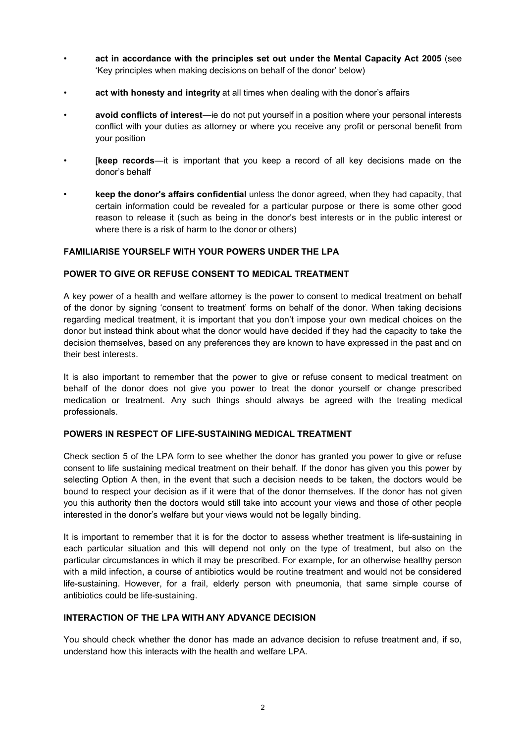- **act in accordance with the principles set out under the Mental Capacity Act 2005** (see 'Key principles when making decisions on behalf of the donor' below)
- **act with honesty and integrity** at all times when dealing with the donor's affairs
- **avoid conflicts of interest**—ie do not put yourself in a position where your personal interests conflict with your duties as attorney or where you receive any profit or personal benefit from your position
- [**keep records**—it is important that you keep a record of all key decisions made on the donor's behalf
- **keep the donor's affairs confidential** unless the donor agreed, when they had capacity, that certain information could be revealed for a particular purpose or there is some other good reason to release it (such as being in the donor's best interests or in the public interest or where there is a risk of harm to the donor or others)

#### **FAMILIARISE YOURSELF WITH YOUR POWERS UNDER THE LPA**

#### **POWER TO GIVE OR REFUSE CONSENT TO MEDICAL TREATMENT**

A key power of a health and welfare attorney is the power to consent to medical treatment on behalf of the donor by signing 'consent to treatment' forms on behalf of the donor. When taking decisions regarding medical treatment, it is important that you don't impose your own medical choices on the donor but instead think about what the donor would have decided if they had the capacity to take the decision themselves, based on any preferences they are known to have expressed in the past and on their best interests.

It is also important to remember that the power to give or refuse consent to medical treatment on behalf of the donor does not give you power to treat the donor yourself or change prescribed medication or treatment. Any such things should always be agreed with the treating medical professionals.

#### **POWERS IN RESPECT OF LIFE-SUSTAINING MEDICAL TREATMENT**

Check section 5 of the LPA form to see whether the donor has granted you power to give or refuse consent to life sustaining medical treatment on their behalf. If the donor has given you this power by selecting Option A then, in the event that such a decision needs to be taken, the doctors would be bound to respect your decision as if it were that of the donor themselves. If the donor has not given you this authority then the doctors would still take into account your views and those of other people interested in the donor's welfare but your views would not be legally binding.

It is important to remember that it is for the doctor to assess whether treatment is life-sustaining in each particular situation and this will depend not only on the type of treatment, but also on the particular circumstances in which it may be prescribed. For example, for an otherwise healthy person with a mild infection, a course of antibiotics would be routine treatment and would not be considered life-sustaining. However, for a frail, elderly person with pneumonia, that same simple course of antibiotics could be life-sustaining.

#### **INTERACTION OF THE LPA WITH ANY ADVANCE DECISION**

You should check whether the donor has made an advance decision to refuse treatment and, if so, understand how this interacts with the health and welfare LPA.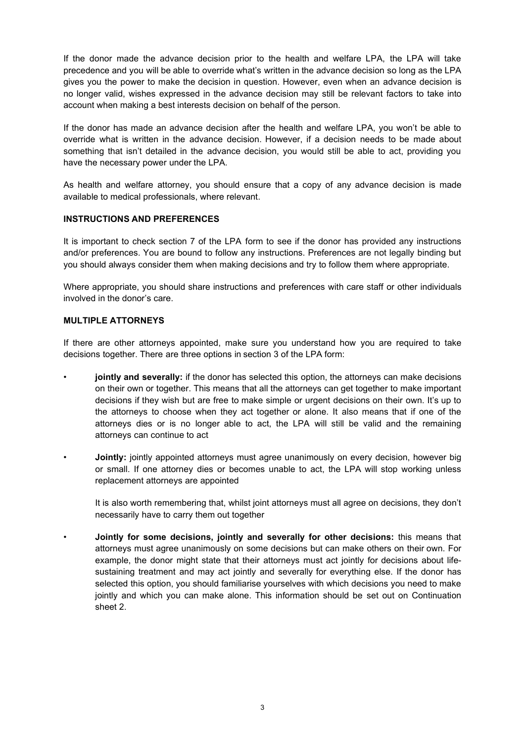If the donor made the advance decision prior to the health and welfare LPA, the LPA will take precedence and you will be able to override what's written in the advance decision so long as the LPA gives you the power to make the decision in question. However, even when an advance decision is no longer valid, wishes expressed in the advance decision may still be relevant factors to take into account when making a best interests decision on behalf of the person.

If the donor has made an advance decision after the health and welfare LPA, you won't be able to override what is written in the advance decision. However, if a decision needs to be made about something that isn't detailed in the advance decision, you would still be able to act, providing you have the necessary power under the LPA.

As health and welfare attorney, you should ensure that a copy of any advance decision is made available to medical professionals, where relevant.

## **INSTRUCTIONS AND PREFERENCES**

It is important to check section 7 of the LPA form to see if the donor has provided any instructions and/or preferences. You are bound to follow any instructions. Preferences are not legally binding but you should always consider them when making decisions and try to follow them where appropriate.

Where appropriate, you should share instructions and preferences with care staff or other individuals involved in the donor's care.

#### **MULTIPLE ATTORNEYS**

If there are other attorneys appointed, make sure you understand how you are required to take decisions together. There are three options in section 3 of the LPA form:

- **jointly and severally:** if the donor has selected this option, the attorneys can make decisions on their own or together. This means that all the attorneys can get together to make important decisions if they wish but are free to make simple or urgent decisions on their own. It's up to the attorneys to choose when they act together or alone. It also means that if one of the attorneys dies or is no longer able to act, the LPA will still be valid and the remaining attorneys can continue to act
- **Jointly:** jointly appointed attorneys must agree unanimously on every decision, however big or small. If one attorney dies or becomes unable to act, the LPA will stop working unless replacement attorneys are appointed

It is also worth remembering that, whilst joint attorneys must all agree on decisions, they don't necessarily have to carry them out together

• **Jointly for some decisions, jointly and severally for other decisions:** this means that attorneys must agree unanimously on some decisions but can make others on their own. For example, the donor might state that their attorneys must act jointly for decisions about lifesustaining treatment and may act jointly and severally for everything else. If the donor has selected this option, you should familiarise yourselves with which decisions you need to make jointly and which you can make alone. This information should be set out on Continuation sheet 2.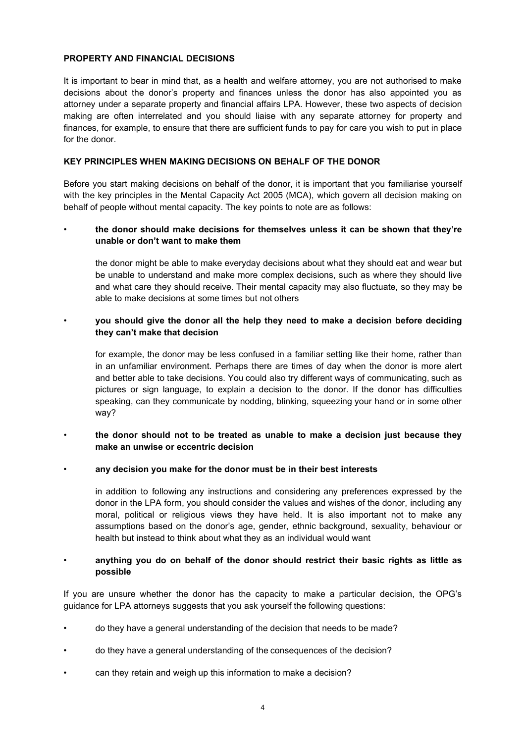## **PROPERTY AND FINANCIAL DECISIONS**

It is important to bear in mind that, as a health and welfare attorney, you are not authorised to make decisions about the donor's property and finances unless the donor has also appointed you as attorney under a separate property and financial affairs LPA. However, these two aspects of decision making are often interrelated and you should liaise with any separate attorney for property and finances, for example, to ensure that there are sufficient funds to pay for care you wish to put in place for the donor.

## **KEY PRINCIPLES WHEN MAKING DECISIONS ON BEHALF OF THE DONOR**

Before you start making decisions on behalf of the donor, it is important that you familiarise yourself with the key principles in the Mental Capacity Act 2005 (MCA), which govern all decision making on behalf of people without mental capacity. The key points to note are as follows:

## • **the donor should make decisions for themselves unless it can be shown that they're unable or don't want to make them**

the donor might be able to make everyday decisions about what they should eat and wear but be unable to understand and make more complex decisions, such as where they should live and what care they should receive. Their mental capacity may also fluctuate, so they may be able to make decisions at some times but not others

# • **you should give the donor all the help they need to make a decision before deciding they can't make that decision**

for example, the donor may be less confused in a familiar setting like their home, rather than in an unfamiliar environment. Perhaps there are times of day when the donor is more alert and better able to take decisions. You could also try different ways of communicating, such as pictures or sign language, to explain a decision to the donor. If the donor has difficulties speaking, can they communicate by nodding, blinking, squeezing your hand or in some other way?

## • **the donor should not to be treated as unable to make a decision just because they make an unwise or eccentric decision**

## • **any decision you make for the donor must be in their best interests**

in addition to following any instructions and considering any preferences expressed by the donor in the LPA form, you should consider the values and wishes of the donor, including any moral, political or religious views they have held. It is also important not to make any assumptions based on the donor's age, gender, ethnic background, sexuality, behaviour or health but instead to think about what they as an individual would want

## • **anything you do on behalf of the donor should restrict their basic rights as little as possible**

If you are unsure whether the donor has the capacity to make a particular decision, the OPG's guidance for LPA attorneys suggests that you ask yourself the following questions:

- do they have a general understanding of the decision that needs to be made?
- do they have a general understanding of the consequences of the decision?
- can they retain and weigh up this information to make a decision?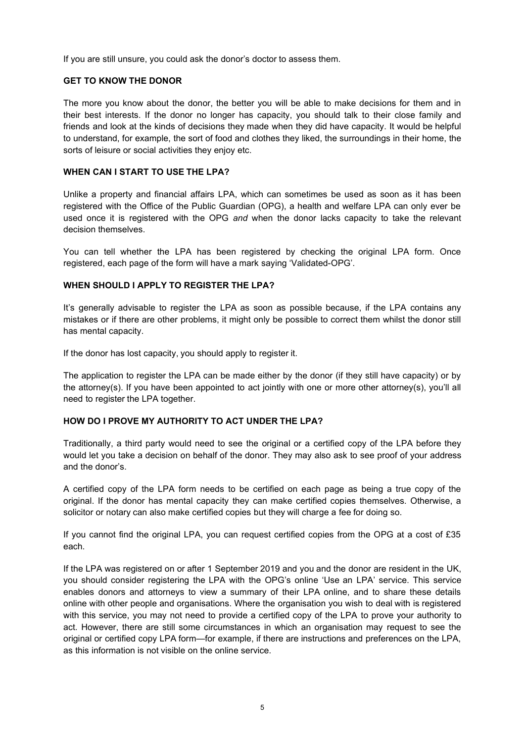If you are still unsure, you could ask the donor's doctor to assess them.

## **GET TO KNOW THE DONOR**

The more you know about the donor, the better you will be able to make decisions for them and in their best interests. If the donor no longer has capacity, you should talk to their close family and friends and look at the kinds of decisions they made when they did have capacity. It would be helpful to understand, for example, the sort of food and clothes they liked, the surroundings in their home, the sorts of leisure or social activities they enjoy etc.

### **WHEN CAN I START TO USE THE LPA?**

Unlike a property and financial affairs LPA, which can sometimes be used as soon as it has been registered with the Office of the Public Guardian (OPG), a health and welfare LPA can only ever be used once it is registered with the OPG *and* when the donor lacks capacity to take the relevant decision themselves.

You can tell whether the LPA has been registered by checking the original LPA form. Once registered, each page of the form will have a mark saying 'Validated-OPG'.

## **WHEN SHOULD I APPLY TO REGISTER THE LPA?**

It's generally advisable to register the LPA as soon as possible because, if the LPA contains any mistakes or if there are other problems, it might only be possible to correct them whilst the donor still has mental capacity.

If the donor has lost capacity, you should apply to register it.

The application to register the LPA can be made either by the donor (if they still have capacity) or by the attorney(s). If you have been appointed to act jointly with one or more other attorney(s), you'll all need to register the LPA together.

## **HOW DO I PROVE MY AUTHORITY TO ACT UNDER THE LPA?**

Traditionally, a third party would need to see the original or a certified copy of the LPA before they would let you take a decision on behalf of the donor. They may also ask to see proof of your address and the donor's.

A certified copy of the LPA form needs to be certified on each page as being a true copy of the original. If the donor has mental capacity they can make certified copies themselves. Otherwise, a solicitor or notary can also make certified copies but they will charge a fee for doing so.

If you cannot find the original LPA, you can request certified copies from the OPG at a cost of £35 each.

If the LPA was registered on or after 1 September 2019 and you and the donor are resident in the UK, you should consider registering the LPA with the OPG's online 'Use an LPA' service. This service enables donors and attorneys to view a summary of their LPA online, and to share these details online with other people and organisations. Where the organisation you wish to deal with is registered with this service, you may not need to provide a certified copy of the LPA to prove your authority to act. However, there are still some circumstances in which an organisation may request to see the original or certified copy LPA form—for example, if there are instructions and preferences on the LPA, as this information is not visible on the online service.